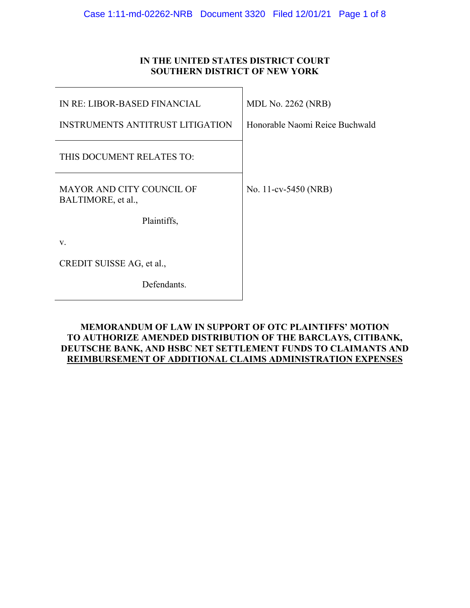# **IN THE UNITED STATES DISTRICT COURT SOUTHERN DISTRICT OF NEW YORK**

 $\overline{\phantom{0}}$ 

| IN RE: LIBOR-BASED FINANCIAL                           | <b>MDL No. 2262 (NRB)</b>      |
|--------------------------------------------------------|--------------------------------|
| <b>INSTRUMENTS ANTITRUST LITIGATION</b>                | Honorable Naomi Reice Buchwald |
| THIS DOCUMENT RELATES TO:                              |                                |
| <b>MAYOR AND CITY COUNCIL OF</b><br>BALTIMORE, et al., | No. 11-cv-5450 (NRB)           |
| Plaintiffs,                                            |                                |
| V.                                                     |                                |
| CREDIT SUISSE AG, et al.,                              |                                |
| Defendants.                                            |                                |

## **MEMORANDUM OF LAW IN SUPPORT OF OTC PLAINTIFFS' MOTION TO AUTHORIZE AMENDED DISTRIBUTION OF THE BARCLAYS, CITIBANK, DEUTSCHE BANK, AND HSBC NET SETTLEMENT FUNDS TO CLAIMANTS AND REIMBURSEMENT OF ADDITIONAL CLAIMS ADMINISTRATION EXPENSES**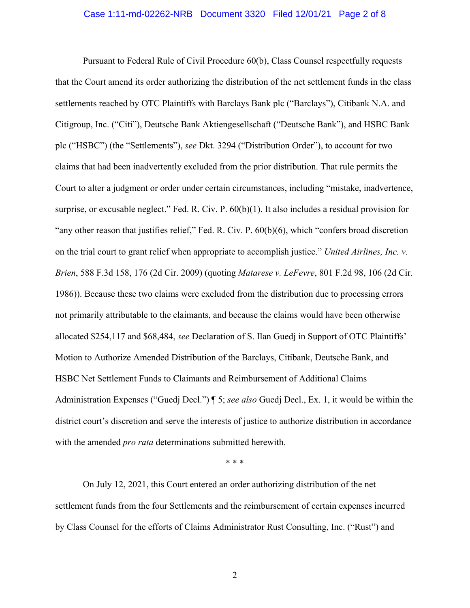### Case 1:11-md-02262-NRB Document 3320 Filed 12/01/21 Page 2 of 8

 Pursuant to Federal Rule of Civil Procedure 60(b), Class Counsel respectfully requests that the Court amend its order authorizing the distribution of the net settlement funds in the class settlements reached by OTC Plaintiffs with Barclays Bank plc ("Barclays"), Citibank N.A. and Citigroup, Inc. ("Citi"), Deutsche Bank Aktiengesellschaft ("Deutsche Bank"), and HSBC Bank plc ("HSBC") (the "Settlements"), *see* Dkt. 3294 ("Distribution Order"), to account for two claims that had been inadvertently excluded from the prior distribution. That rule permits the Court to alter a judgment or order under certain circumstances, including "mistake, inadvertence, surprise, or excusable neglect." Fed. R. Civ. P. 60(b)(1). It also includes a residual provision for "any other reason that justifies relief," Fed. R. Civ. P. 60(b)(6), which "confers broad discretion on the trial court to grant relief when appropriate to accomplish justice." *United Airlines, Inc. v. Brien*, 588 F.3d 158, 176 (2d Cir. 2009) (quoting *Matarese v. LeFevre*, 801 F.2d 98, 106 (2d Cir. 1986)). Because these two claims were excluded from the distribution due to processing errors not primarily attributable to the claimants, and because the claims would have been otherwise allocated \$254,117 and \$68,484, *see* Declaration of S. Ilan Guedj in Support of OTC Plaintiffs' Motion to Authorize Amended Distribution of the Barclays, Citibank, Deutsche Bank, and HSBC Net Settlement Funds to Claimants and Reimbursement of Additional Claims Administration Expenses ("Guedj Decl.") ¶ 5; *see also* Guedj Decl., Ex. 1, it would be within the district court's discretion and serve the interests of justice to authorize distribution in accordance with the amended *pro rata* determinations submitted herewith.

\* \* \*

On July 12, 2021, this Court entered an order authorizing distribution of the net settlement funds from the four Settlements and the reimbursement of certain expenses incurred by Class Counsel for the efforts of Claims Administrator Rust Consulting, Inc. ("Rust") and

2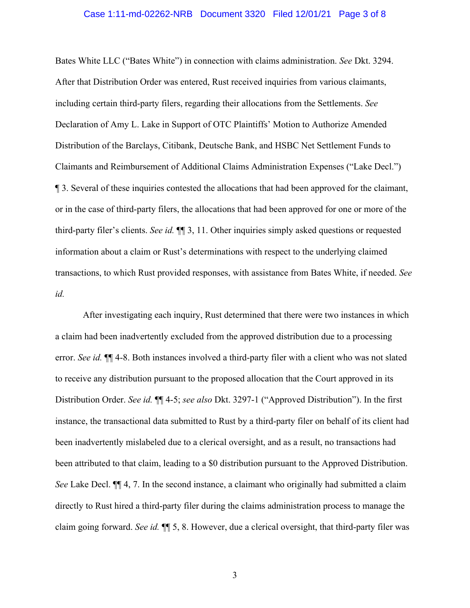#### Case 1:11-md-02262-NRB Document 3320 Filed 12/01/21 Page 3 of 8

Bates White LLC ("Bates White") in connection with claims administration. *See* Dkt. 3294. After that Distribution Order was entered, Rust received inquiries from various claimants, including certain third-party filers, regarding their allocations from the Settlements. *See* Declaration of Amy L. Lake in Support of OTC Plaintiffs' Motion to Authorize Amended Distribution of the Barclays, Citibank, Deutsche Bank, and HSBC Net Settlement Funds to Claimants and Reimbursement of Additional Claims Administration Expenses ("Lake Decl.") ¶ 3. Several of these inquiries contested the allocations that had been approved for the claimant, or in the case of third-party filers, the allocations that had been approved for one or more of the third-party filer's clients. *See id.* ¶¶ 3, 11. Other inquiries simply asked questions or requested information about a claim or Rust's determinations with respect to the underlying claimed transactions, to which Rust provided responses, with assistance from Bates White, if needed. *See id.*

After investigating each inquiry, Rust determined that there were two instances in which a claim had been inadvertently excluded from the approved distribution due to a processing error. *See id.* ¶¶ 4-8. Both instances involved a third-party filer with a client who was not slated to receive any distribution pursuant to the proposed allocation that the Court approved in its Distribution Order. *See id.* ¶¶ 4-5; *see also* Dkt. 3297-1 ("Approved Distribution"). In the first instance, the transactional data submitted to Rust by a third-party filer on behalf of its client had been inadvertently mislabeled due to a clerical oversight, and as a result, no transactions had been attributed to that claim, leading to a \$0 distribution pursuant to the Approved Distribution. *See* Lake Decl. ¶¶ 4, 7. In the second instance, a claimant who originally had submitted a claim directly to Rust hired a third-party filer during the claims administration process to manage the claim going forward. *See id.* ¶¶ 5, 8. However, due a clerical oversight, that third-party filer was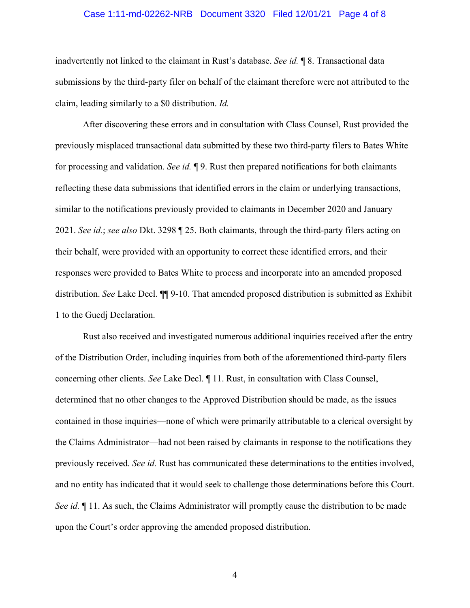### Case 1:11-md-02262-NRB Document 3320 Filed 12/01/21 Page 4 of 8

inadvertently not linked to the claimant in Rust's database. *See id.* ¶ 8. Transactional data submissions by the third-party filer on behalf of the claimant therefore were not attributed to the claim, leading similarly to a \$0 distribution. *Id.*

After discovering these errors and in consultation with Class Counsel, Rust provided the previously misplaced transactional data submitted by these two third-party filers to Bates White for processing and validation. *See id.* ¶ 9. Rust then prepared notifications for both claimants reflecting these data submissions that identified errors in the claim or underlying transactions, similar to the notifications previously provided to claimants in December 2020 and January 2021. *See id.*; *see also* Dkt. 3298 ¶ 25. Both claimants, through the third-party filers acting on their behalf, were provided with an opportunity to correct these identified errors, and their responses were provided to Bates White to process and incorporate into an amended proposed distribution. *See* Lake Decl. ¶¶ 9-10. That amended proposed distribution is submitted as Exhibit 1 to the Guedj Declaration.

Rust also received and investigated numerous additional inquiries received after the entry of the Distribution Order, including inquiries from both of the aforementioned third-party filers concerning other clients. *See* Lake Decl. ¶ 11. Rust, in consultation with Class Counsel, determined that no other changes to the Approved Distribution should be made, as the issues contained in those inquiries—none of which were primarily attributable to a clerical oversight by the Claims Administrator—had not been raised by claimants in response to the notifications they previously received. *See id.* Rust has communicated these determinations to the entities involved, and no entity has indicated that it would seek to challenge those determinations before this Court. *See id.*  $\parallel$  11. As such, the Claims Administrator will promptly cause the distribution to be made upon the Court's order approving the amended proposed distribution.

4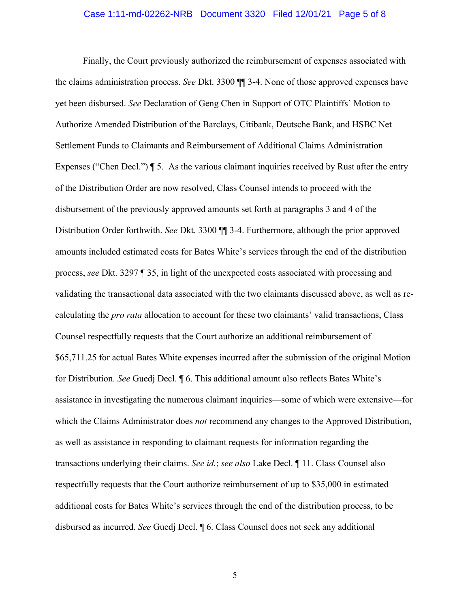#### Case 1:11-md-02262-NRB Document 3320 Filed 12/01/21 Page 5 of 8

Finally, the Court previously authorized the reimbursement of expenses associated with the claims administration process. *See* Dkt. 3300 ¶¶ 3-4. None of those approved expenses have yet been disbursed. *See* Declaration of Geng Chen in Support of OTC Plaintiffs' Motion to Authorize Amended Distribution of the Barclays, Citibank, Deutsche Bank, and HSBC Net Settlement Funds to Claimants and Reimbursement of Additional Claims Administration Expenses ("Chen Decl.")  $\parallel$  5. As the various claimant inquiries received by Rust after the entry of the Distribution Order are now resolved, Class Counsel intends to proceed with the disbursement of the previously approved amounts set forth at paragraphs 3 and 4 of the Distribution Order forthwith. *See* Dkt. 3300 ¶¶ 3-4. Furthermore, although the prior approved amounts included estimated costs for Bates White's services through the end of the distribution process, *see* Dkt. 3297 ¶ 35, in light of the unexpected costs associated with processing and validating the transactional data associated with the two claimants discussed above, as well as recalculating the *pro rata* allocation to account for these two claimants' valid transactions, Class Counsel respectfully requests that the Court authorize an additional reimbursement of \$65,711.25 for actual Bates White expenses incurred after the submission of the original Motion for Distribution. *See* Guedj Decl. ¶ 6. This additional amount also reflects Bates White's assistance in investigating the numerous claimant inquiries—some of which were extensive—for which the Claims Administrator does *not* recommend any changes to the Approved Distribution, as well as assistance in responding to claimant requests for information regarding the transactions underlying their claims. *See id.*; *see also* Lake Decl. ¶ 11. Class Counsel also respectfully requests that the Court authorize reimbursement of up to \$35,000 in estimated additional costs for Bates White's services through the end of the distribution process, to be disbursed as incurred. *See* Guedj Decl. ¶ 6. Class Counsel does not seek any additional

5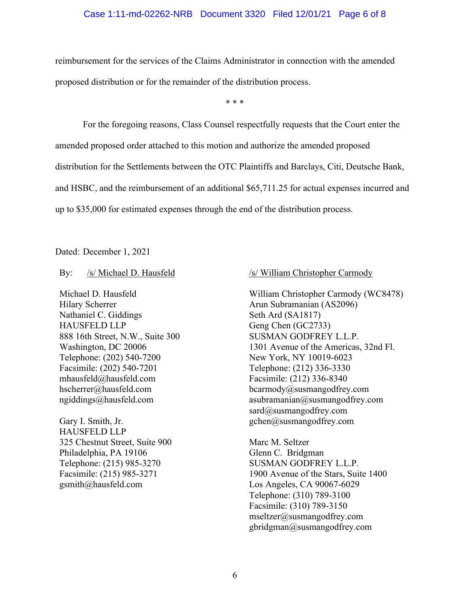### Case 1:11-md-02262-NRB Document 3320 Filed 12/01/21 Page 6 of 8

reimbursement for the services of the Claims Administrator in connection with the amended proposed distribution or for the remainder of the distribution process.

\* \* \*

 For the foregoing reasons, Class Counsel respectfully requests that the Court enter the amended proposed order attached to this motion and authorize the amended proposed distribution for the Settlements between the OTC Plaintiffs and Barclays, Citi, Deutsche Bank, and HSBC, and the reimbursement of an additional \$65,711.25 for actual expenses incurred and up to \$35,000 for estimated expenses through the end of the distribution process.

Dated: December 1, 2021

By: /s/ Michael D. Hausfeld

Michael D. Hausfeld Hilary Scherrer Nathaniel C. Giddings HAUSFELD LLP 888 16th Street, N.W., Suite 300 Washington, DC 20006 Telephone: (202) 540-7200 Facsimile: (202) 540-7201 mhausfeld@hausfeld.com hscherrer@hausfeld.com ngiddings@hausfeld.com

Gary I. Smith, Jr. HAUSFELD LLP 325 Chestnut Street, Suite 900 Philadelphia, PA 19106 Telephone: (215) 985-3270 Facsimile: (215) 985-3271 gsmith@hausfeld.com

### /s/ William Christopher Carmody

William Christopher Carmody (WC8478) Arun Subramanian (AS2096) Seth Ard (SA1817) Geng Chen (GC2733) SUSMAN GODFREY L.L.P. 1301 Avenue of the Americas, 32nd Fl. New York, NY 10019-6023 Telephone: (212) 336-3330 Facsimile: (212) 336-8340 bcarmody@susmangodfrey.com asubramanian@susmangodfrey.com sard@susmangodfrey.com gchen@susmangodfrey.com

Marc M. Seltzer Glenn C. Bridgman SUSMAN GODFREY L.L.P. 1900 Avenue of the Stars, Suite 1400 Los Angeles, CA 90067-6029 Telephone: (310) 789-3100 Facsimile: (310) 789-3150 mseltzer@susmangodfrey.com gbridgman@susmangodfrey.com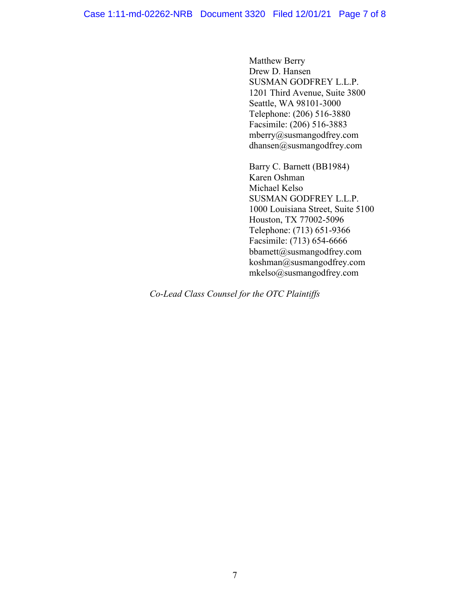Matthew Berry Drew D. Hansen SUSMAN GODFREY L.L.P. 1201 Third Avenue, Suite 3800 Seattle, WA 98101-3000 Telephone: (206) 516-3880 Facsimile: (206) 516-3883 mberry@susmangodfrey.com dhansen@susmangodfrey.com

Barry C. Barnett (BB1984) Karen Oshman Michael Kelso SUSMAN GODFREY L.L.P. 1000 Louisiana Street, Suite 5100 Houston, TX 77002-5096 Telephone: (713) 651-9366 Facsimile: (713) 654-6666 bbamett@susmangodfrey.com koshman@susmangodfrey.com mkelso@susmangodfrey.com

*Co-Lead Class Counsel for the OTC Plaintiffs*